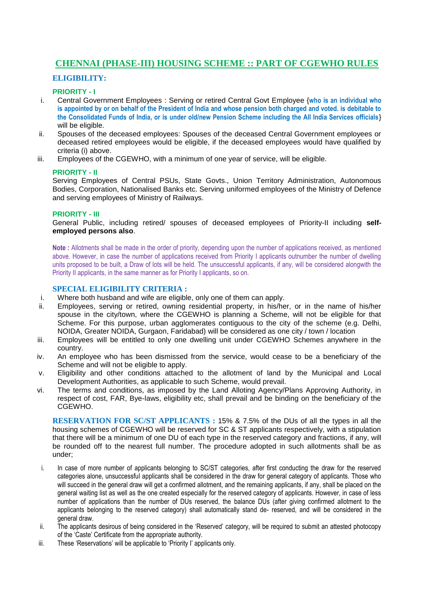# **CHENNAI (PHASE-III) HOUSING SCHEME :: PART OF CGEWHO RULES**

## **ELIGIBILITY:**

### **PRIORITY - I**

- i. Central Government Employees : Serving or retired Central Govt Employee {**who is an individual who is appointed by or on behalf of the President of India and whose pension both charged and voted. is debitable to the Consolidated Funds of India, or is under old/new Pension Scheme including the All India Services officials**} will be eligible.
- ii. Spouses of the deceased employees: Spouses of the deceased Central Government employees or deceased retired employees would be eligible, if the deceased employees would have qualified by criteria (i) above.
- iii. Employees of the CGEWHO, with a minimum of one year of service, will be eligible.

### **PRIORITY - II**

Serving Employees of Central PSUs, State Govts., Union Territory Administration, Autonomous Bodies, Corporation, Nationalised Banks etc. Serving uniformed employees of the Ministry of Defence and serving employees of Ministry of Railways.

### **PRIORITY - III**

General Public, including retired/ spouses of deceased employees of Priority-II including **selfemployed persons also**.

**Note :** Allotments shall be made in the order of priority, depending upon the number of applications received, as mentioned above. However, in case the number of applications received from Priority I applicants outnumber the number of dwelling units proposed to be built, a Draw of lots will be held. The unsuccessful applicants, if any, will be considered alongwith the Priority II applicants, in the same manner as for Priority I applicants, so on.

### **SPECIAL ELIGIBILITY CRITERIA :**

- i. Where both husband and wife are eligible, only one of them can apply.
- ii. Employees, serving or retired, owning residential property, in his/her, or in the name of his/her spouse in the city/town, where the CGEWHO is planning a Scheme, will not be eligible for that Scheme. For this purpose, urban agglomerates contiguous to the city of the scheme (e.g. Delhi, NOIDA, Greater NOIDA, Gurgaon, Faridabad) will be considered as one city / town / location
- iii. Employees will be entitled to only one dwelling unit under CGEWHO Schemes anywhere in the country.
- iv. An employee who has been dismissed from the service, would cease to be a beneficiary of the Scheme and will not be eligible to apply.
- v. Eligibility and other conditions attached to the allotment of land by the Municipal and Local Development Authorities, as applicable to such Scheme, would prevail.
- vi. The terms and conditions, as imposed by the Land Alloting Agency/Plans Approving Authority, in respect of cost, FAR, Bye-laws, eligibility etc, shall prevail and be binding on the beneficiary of the CGEWHO.

**RESERVATION FOR SC/ST APPLICANTS :** 15% & 7.5% of the DUs of all the types in all the housing schemes of CGEWHO will be reserved for SC & ST applicants respectively, with a stipulation that there will be a minimum of one DU of each type in the reserved category and fractions, if any, will be rounded off to the nearest full number. The procedure adopted in such allotments shall be as under;

- i. In case of more number of applicants belonging to SC/ST categories, after first conducting the draw for the reserved categories alone, unsuccessful applicants shall be considered in the draw for general category of applicants. Those who will succeed in the general draw will get a confirmed allotment, and the remaining applicants, if any, shall be placed on the general waiting list as well as the one created especially for the reserved category of applicants. However, in case of less number of applications than the number of DUs reserved, the balance DUs (after giving confirmed allotment to the applicants belonging to the reserved category) shall automatically stand de- reserved, and will be considered in the general draw.
- ii. The applicants desirous of being considered in the 'Reserved' category, will be required to submit an attested photocopy of the 'Caste' Certificate from the appropriate authority.
- iii. These 'Reservations' will be applicable to 'Priority I' applicants only.